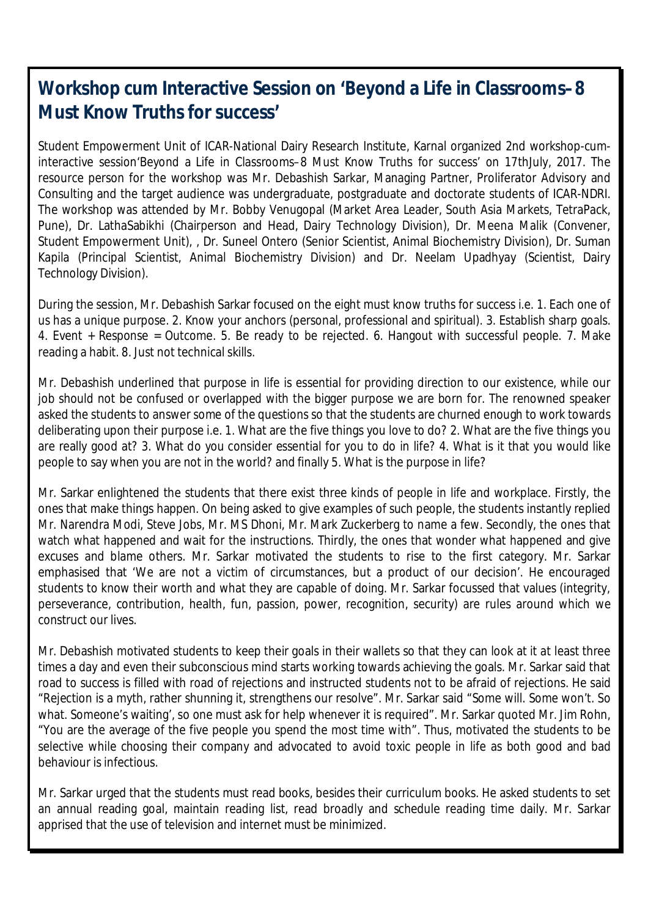## **Workshop cum Interactive Session on 'Beyond a Life in Classrooms–8 Must Know Truths for success'**

Student Empowerment Unit of ICAR-National Dairy Research Institute, Karnal organized 2nd workshop-cuminteractive session'Beyond a Life in Classrooms–8 Must Know Truths for success' on 17thJuly, 2017. The resource person for the workshop was Mr. Debashish Sarkar, Managing Partner, Proliferator Advisory and Consulting and the target audience was undergraduate, postgraduate and doctorate students of ICAR-NDRI. The workshop was attended by Mr. Bobby Venugopal (Market Area Leader, South Asia Markets, TetraPack, Pune), Dr. LathaSabikhi (Chairperson and Head, Dairy Technology Division), Dr. Meena Malik (Convener, Student Empowerment Unit), , Dr. Suneel Ontero (Senior Scientist, Animal Biochemistry Division), Dr. Suman Kapila (Principal Scientist, Animal Biochemistry Division) and Dr. Neelam Upadhyay (Scientist, Dairy Technology Division).

During the session, Mr. Debashish Sarkar focused on the eight must know truths for success i.e. 1. Each one of us has a unique purpose. 2. Know your anchors (personal, professional and spiritual). 3. Establish sharp goals. 4. Event + Response = Outcome. 5. Be ready to be rejected. 6. Hangout with successful people. 7. Make reading a habit. 8. Just not technical skills.

Mr. Debashish underlined that purpose in life is essential for providing direction to our existence, while our job should not be confused or overlapped with the bigger purpose we are born for. The renowned speaker asked the students to answer some of the questions so that the students are churned enough to work towards deliberating upon their purpose i.e. 1. What are the five things you love to do? 2. What are the five things you are really good at? 3. What do you consider essential for you to do in life? 4. What is it that you would like people to say when you are not in the world? and finally 5. What is the purpose in life?

Mr. Sarkar enlightened the students that there exist three kinds of people in life and workplace. Firstly, the ones that make things happen. On being asked to give examples of such people, the students instantly replied Mr. Narendra Modi, Steve Jobs, Mr. MS Dhoni, Mr. Mark Zuckerberg to name a few. Secondly, the ones that watch what happened and wait for the instructions. Thirdly, the ones that wonder what happened and give excuses and blame others. Mr. Sarkar motivated the students to rise to the first category. Mr. Sarkar emphasised that 'We are not a victim of circumstances, but a product of our decision'. He encouraged students to know their worth and what they are capable of doing. Mr. Sarkar focussed that values (integrity, perseverance, contribution, health, fun, passion, power, recognition, security) are rules around which we construct our lives.

Mr. Debashish motivated students to keep their goals in their wallets so that they can look at it at least three times a day and even their subconscious mind starts working towards achieving the goals. Mr. Sarkar said that road to success is filled with road of rejections and instructed students not to be afraid of rejections. He said "Rejection is a myth, rather shunning it, strengthens our resolve". Mr. Sarkar said "Some will. Some won't. So what. Someone's waiting', so one must ask for help whenever it is required". Mr. Sarkar quoted Mr. Jim Rohn, "You are the average of the five people you spend the most time with". Thus, motivated the students to be selective while choosing their company and advocated to avoid toxic people in life as both good and bad behaviour is infectious.

Mr. Sarkar urged that the students must read books, besides their curriculum books. He asked students to set an annual reading goal, maintain reading list, read broadly and schedule reading time daily. Mr. Sarkar apprised that the use of television and internet must be minimized.